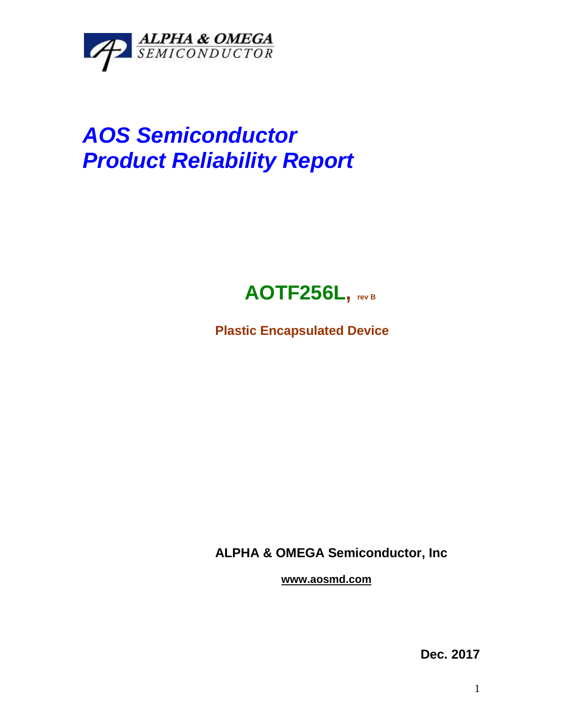

# *AOS Semiconductor Product Reliability Report*



**Plastic Encapsulated Device**

**ALPHA & OMEGA Semiconductor, Inc**

**www.aosmd.com**

**Dec. 2017**